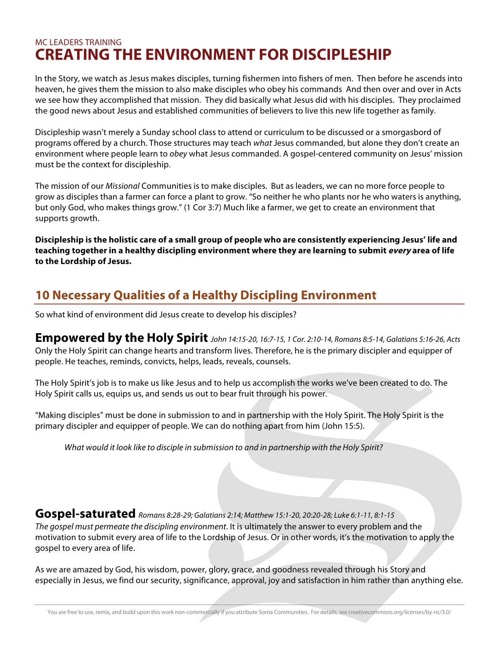## MC LEADERS TRAINING **CREATING THE ENVIRONMENT FOR DISCIPLESHIP**

In the Story, we watch as Jesus makes disciples, turning fishermen into fishers of men. Then before he ascends into heaven, he gives them the mission to also make disciples who obey his commands And then over and over in Acts we see how they accomplished that mission. They did basically what Jesus did with his disciples. They proclaimed the good news about Jesus and established communities of believers to live this new life together as family.

Discipleship wasn't merely a Sunday school class to attend or curriculum to be discussed or a smorgasbord of programs offered by a church. Those structures may teach *what* Jesus commanded, but alone they don't create an environment where people learn to *obey* what Jesus commanded. A gospel-centered community on Jesus' mission must be the context for discipleship.

The mission of our *Missional* Communities is to make disciples. But as leaders, we can no more force people to grow as disciples than a farmer can force a plant to grow. "So neither he who plants nor he who waters is anything, but only God, who makes things grow." (1 Cor 3:7) Much like a farmer, we get to create an environment that supports growth.

**Discipleship is the holistic care of a small group of people who are consistently experiencing Jesus' life and teaching together in a healthy discipling environment where they are learning to submit every area of life to the Lordship of Jesus.**

# **10 Necessary Qualities of a Healthy Discipling Environment**

So what kind of environment did Jesus create to develop his disciples?

**Empowered by the Holy Spirit** *John 14:15-20, 16:7-15, 1 Cor. 2:10-14, Romans 8:5-14, Galatians 5:16-26, Acts* Only the Holy Spirit can change hearts and transform lives. Therefore, he is the primary discipler and equipper of people. He teaches, reminds, convicts, helps, leads, reveals, counsels.

The Holy Spirit's job is to make us like Jesus and to help us accomplish the works we've been created to do. The Holy Spirit calls us, equips us, and sends us out to bear fruit through his power.

"Making disciples" must be done in submission to and in partnership with the Holy Spirit. The Holy Spirit is the primary discipler and equipper of people. We can do nothing apart from him (John 15:5).

*What would it look like to disciple in submission to and in partnership with the Holy Spirit?*

**Gospel-saturated** *Romans 8:28-29; Galatians 2:14; Matthew 15:1-20, 20:20-28; Luke 6:1-11, 8:1-15*

*The gospel must permeate the discipling environment*. It is ultimately the answer to every problem and the motivation to submit every area of life to the Lordship of Jesus. Or in other words, it's the motivation to apply the gospel to every area of life.

As we are amazed by God, his wisdom, power, glory, grace, and goodness revealed through his Story and especially in Jesus, we find our security, significance, approval, joy and satisfaction in him rather than anything else.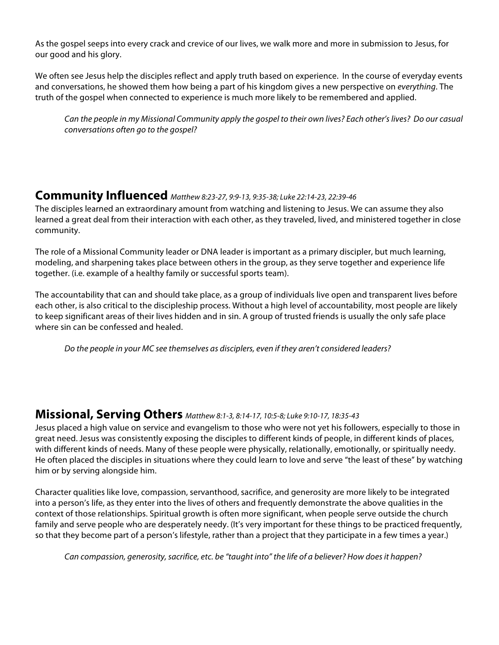As the gospel seeps into every crack and crevice of our lives, we walk more and more in submission to Jesus, for our good and his glory.

We often see Jesus help the disciples reflect and apply truth based on experience. In the course of everyday events and conversations, he showed them how being a part of his kingdom gives a new perspective on *everything*. The truth of the gospel when connected to experience is much more likely to be remembered and applied.

*Can the people in my Missional Community apply the gospel to their own lives? Each other's lives? Do our casual conversations often go to the gospel?* 

## **Community Influenced** *Matthew 8:23-27, 9:9-13, 9:35-38; Luke 22:14-23, 22:39-46*

The disciples learned an extraordinary amount from watching and listening to Jesus. We can assume they also learned a great deal from their interaction with each other, as they traveled, lived, and ministered together in close community.

The role of a Missional Community leader or DNA leader is important as a primary discipler, but much learning, modeling, and sharpening takes place between others in the group, as they serve together and experience life together. (i.e. example of a healthy family or successful sports team).

The accountability that can and should take place, as a group of individuals live open and transparent lives before each other, is also critical to the discipleship process. Without a high level of accountability, most people are likely to keep significant areas of their lives hidden and in sin. A group of trusted friends is usually the only safe place where sin can be confessed and healed.

*Do the people in your MC see themselves as disciplers, even if they aren't considered leaders?*

## **Missional, Serving Others** *Matthew 8:1-3, 8:14-17, 10:5-8; Luke 9:10-17, 18:35-43*

Jesus placed a high value on service and evangelism to those who were not yet his followers, especially to those in great need. Jesus was consistently exposing the disciples to different kinds of people, in different kinds of places, with different kinds of needs. Many of these people were physically, relationally, emotionally, or spiritually needy. He often placed the disciples in situations where they could learn to love and serve "the least of these" by watching him or by serving alongside him.

Character qualities like love, compassion, servanthood, sacrifice, and generosity are more likely to be integrated into a person's life, as they enter into the lives of others and frequently demonstrate the above qualities in the context of those relationships. Spiritual growth is often more significant, when people serve outside the church family and serve people who are desperately needy. (It's very important for these things to be practiced frequently, so that they become part of a person's lifestyle, rather than a project that they participate in a few times a year.)

*Can compassion, generosity, sacrifice, etc. be "taught into" the life of a believer? How does it happen?*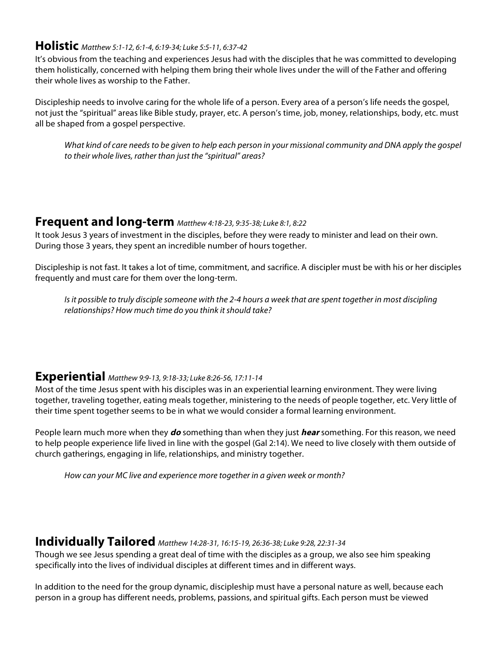#### **Holistic** *Matthew 5:1-12, 6:1-4, 6:19-34; Luke 5:5-11, 6:37-42*

It's obvious from the teaching and experiences Jesus had with the disciples that he was committed to developing them holistically, concerned with helping them bring their whole lives under the will of the Father and offering their whole lives as worship to the Father.

Discipleship needs to involve caring for the whole life of a person. Every area of a person's life needs the gospel, not just the "spiritual" areas like Bible study, prayer, etc. A person's time, job, money, relationships, body, etc. must all be shaped from a gospel perspective.

*What kind of care needs to be given to help each person in your missional community and DNA apply the gospel to their whole lives, rather than just the "spiritual" areas?*

## **Frequent and long-term** *Matthew 4:18-23, 9:35-38; Luke 8:1, 8:22*

It took Jesus 3 years of investment in the disciples, before they were ready to minister and lead on their own. During those 3 years, they spent an incredible number of hours together.

Discipleship is not fast. It takes a lot of time, commitment, and sacrifice. A discipler must be with his or her disciples frequently and must care for them over the long-term.

*Is it possible to truly disciple someone with the 2-4 hours a week that are spent together in most discipling relationships? How much time do you think it should take?*

#### **Experiential** *Matthew 9:9-13, 9:18-33; Luke 8:26-56, 17:11-14*

Most of the time Jesus spent with his disciples was in an experiential learning environment. They were living together, traveling together, eating meals together, ministering to the needs of people together, etc. Very little of their time spent together seems to be in what we would consider a formal learning environment.

People learn much more when they **do** something than when they just **hear** something. For this reason, we need to help people experience life lived in line with the gospel (Gal 2:14). We need to live closely with them outside of church gatherings, engaging in life, relationships, and ministry together.

*How can your MC live and experience more together in a given week or month?*

#### **Individually Tailored** *Matthew 14:28-31, 16:15-19, 26:36-38; Luke 9:28, 22:31-34*

Though we see Jesus spending a great deal of time with the disciples as a group, we also see him speaking specifically into the lives of individual disciples at different times and in different ways.

In addition to the need for the group dynamic, discipleship must have a personal nature as well, because each person in a group has different needs, problems, passions, and spiritual gifts. Each person must be viewed